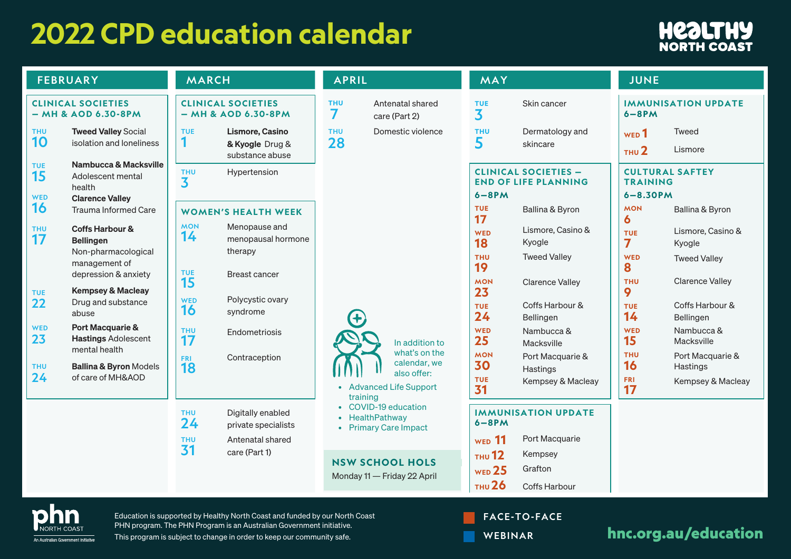## **2022 CPD education calendar**



| <b>FEBRUARY</b>                                     |                                                                                                                                                                                              | <b>MARCH</b>                                                                                                                                        |  | <b>APRIL</b>                                                     |                                                                         | MAY                                                      |                                                            |                                       | <b>JUNE</b>                               |  |
|-----------------------------------------------------|----------------------------------------------------------------------------------------------------------------------------------------------------------------------------------------------|-----------------------------------------------------------------------------------------------------------------------------------------------------|--|------------------------------------------------------------------|-------------------------------------------------------------------------|----------------------------------------------------------|------------------------------------------------------------|---------------------------------------|-------------------------------------------|--|
| <b>CLINICAL SOCIETIES</b><br>$-MH & AOD & 6.30-8PM$ |                                                                                                                                                                                              | <b>CLINICAL SOCIETIES</b><br>$-$ MH & AOD 6.30-8PM                                                                                                  |  | <b>THU</b><br>7                                                  | Antenatal shared<br>care (Part 2)                                       | <b>TUE</b><br>3                                          | Skin cancer                                                | $6 - 8$ PM                            | <b>IMMUNISATION UPDATE</b>                |  |
| <b>THU</b><br>10                                    | <b>Tweed Valley Social</b><br>isolation and loneliness                                                                                                                                       | Lismore, Casino<br><b>TUE</b><br>1<br>& Kyogle Drug &<br>substance abuse                                                                            |  | <b>THU</b><br>28                                                 | Domestic violence                                                       | <b>THU</b><br>5                                          | Dermatology and<br>skincare                                | WED <sup>1</sup><br>THU <sub>2</sub>  | Tweed<br>Lismore                          |  |
| <b>TUE</b><br>15<br><b>WED</b>                      | <b>Nambucca &amp; Macksville</b><br>Adolescent mental<br>health<br><b>Clarence Valley</b>                                                                                                    | <b>THU</b><br>Hypertension<br>3                                                                                                                     |  |                                                                  |                                                                         | $6 - 8$ PM                                               | <b>CLINICAL SOCIETIES -</b><br><b>END OF LIFE PLANNING</b> | <b>TRAINING</b><br>$6 - 8.30$ PM      | <b>CULTURAL SAFTEY</b>                    |  |
| 16                                                  | Trauma Informed Care<br><b>Coffs Harbour &amp;</b><br><b>Bellingen</b><br>Non-pharmacological<br>management of<br>depression & anxiety<br><b>Kempsey &amp; Macleay</b><br>Drug and substance | <b>WOMEN'S HEALTH WEEK</b>                                                                                                                          |  |                                                                  |                                                                         | <b>TUE</b><br>17                                         | Ballina & Byron                                            | <b>MON</b><br>6                       | Ballina & Byron                           |  |
| <b>THU</b><br>17                                    |                                                                                                                                                                                              | <b>MON</b><br>Menopause and<br>14<br>menopausal hormone<br>therapy                                                                                  |  |                                                                  |                                                                         | <b>WED</b><br>18<br><b>THU</b><br>19<br><b>MON</b><br>23 | Lismore, Casino &<br>Kyogle                                | <b>TUE</b><br>$\overline{\mathbf{z}}$ | Lismore, Casino &<br>Kyogle               |  |
|                                                     |                                                                                                                                                                                              | TUE<br><b>Breast cancer</b>                                                                                                                         |  |                                                                  |                                                                         |                                                          | <b>Tweed Valley</b>                                        | <b>WED</b><br>8                       | <b>Tweed Valley</b>                       |  |
| <b>TUE</b><br>22                                    |                                                                                                                                                                                              | 15<br>Polycystic ovary<br><b>WED</b>                                                                                                                |  |                                                                  |                                                                         |                                                          | <b>Clarence Valley</b><br>Coffs Harbour &                  | <b>THU</b><br>9                       | <b>Clarence Valley</b><br>Coffs Harbour & |  |
|                                                     | abuse                                                                                                                                                                                        | 16<br>syndrome                                                                                                                                      |  |                                                                  |                                                                         | <b>TUE</b><br>24                                         | Bellingen                                                  | <b>TUE</b><br>14                      | Bellingen                                 |  |
| <b>WED</b><br>23                                    | <b>Port Macquarie &amp;</b><br><b>Hastings Adolescent</b><br>mental health<br><b>Ballina &amp; Byron Models</b><br>of care of MH&AOD                                                         | <b>THU</b><br>Endometriosis<br>17                                                                                                                   |  | training                                                         | In addition to                                                          | WED<br>25                                                | Nambucca &<br>Macksville                                   | <b>WED</b><br>15                      | Nambucca &<br><b>Macksville</b>           |  |
| <b>THU</b><br>24                                    |                                                                                                                                                                                              | Contraception<br><b>FRI</b><br>18                                                                                                                   |  |                                                                  | what's on the<br>calendar, we<br>also offer:<br>• Advanced Life Support | <b>MON</b><br>30                                         | Port Macquarie &<br>Hastings                               | <b>THU</b><br>16                      | Port Macquarie &<br>Hastings              |  |
|                                                     |                                                                                                                                                                                              |                                                                                                                                                     |  |                                                                  |                                                                         | <b>TUE</b><br>31                                         | Kempsey & Macleay                                          | <b>FRI</b><br>17                      | Kempsey & Macleay                         |  |
|                                                     |                                                                                                                                                                                              | <b>THU</b><br>Digitally enabled<br>24<br>private specialists                                                                                        |  | • COVID-19 education<br>• HealthPathway<br>• Primary Care Impact |                                                                         | <b>IMMUNISATION UPDATE</b><br>$6 - 8$ PM                 |                                                            |                                       |                                           |  |
|                                                     |                                                                                                                                                                                              | Antenatal shared<br><b>THU</b><br>31                                                                                                                |  |                                                                  |                                                                         | <b>WED</b> 11                                            | Port Macquarie                                             |                                       |                                           |  |
|                                                     |                                                                                                                                                                                              | care (Part 1)                                                                                                                                       |  | <b>NSW SCHOOL HOLS</b>                                           |                                                                         | <b>THU</b> 12<br>WED <sub>25</sub>                       | Kempsey<br>Grafton                                         |                                       |                                           |  |
|                                                     |                                                                                                                                                                                              |                                                                                                                                                     |  |                                                                  | Monday 11 - Friday 22 April                                             | <b>THU 26</b>                                            | Coffs Harbour                                              |                                       |                                           |  |
|                                                     |                                                                                                                                                                                              | Education is supported by Healthy North Coast and funded by our North Coast<br>PHN program. The PHN Program is an Australian Government initiative. |  |                                                                  |                                                                         |                                                          | <b>FACE-TO-FACE</b>                                        |                                       |                                           |  |

An Australian Government Initiative

WEBINAR

This program is subject to change in order to keep our community safe. Note that the state of the state of the state of the state of the state of the state of the state of the state of the state of the state of the state o